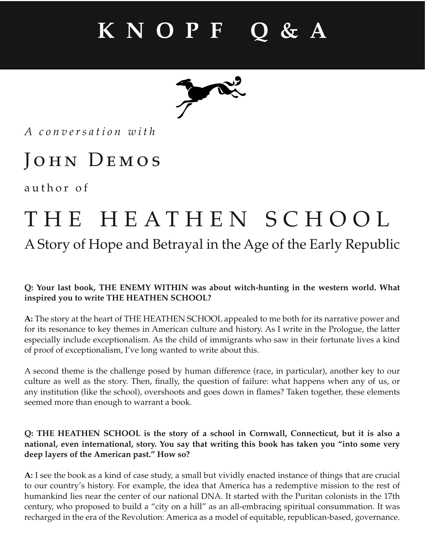*A conversation with*

### JOHN DEMOS

author of

### THE HEATHEN SCHOOL

### A Story of Hope and Betrayal in the Age of the Early Republic

### **Q: Your last book, THE ENEMY WITHIN was about witch-hunting in the western world. What inspired you to write THE HEATHEN SCHOOL?**

**A:** The story at the heart of THE HEATHEN SCHOOL appealed to me both for its narrative power and for its resonance to key themes in American culture and history. As I write in the Prologue, the latter especially include exceptionalism. As the child of immigrants who saw in their fortunate lives a kind of proof of exceptionalism, I've long wanted to write about this.

A second theme is the challenge posed by human difference (race, in particular), another key to our culture as well as the story. Then, finally, the question of failure: what happens when any of us, or any institution (like the school), overshoots and goes down in flames? Taken together, these elements seemed more than enough to warrant a book.

### **Q: THE HEATHEN SCHOOL is the story of a school in Cornwall, Connecticut, but it is also a national, even international, story. You say that writing this book has taken you "into some very deep layers of the American past." How so?**

**A:** I see the book as a kind of case study, a small but vividly enacted instance of things that are crucial to our country's history. For example, the idea that America has a redemptive mission to the rest of humankind lies near the center of our national DNA. It started with the Puritan colonists in the 17th century, who proposed to build a "city on a hill" as an all-embracing spiritual consummation. It was recharged in the era of the Revolution: America as a model of equitable, republican-based, governance.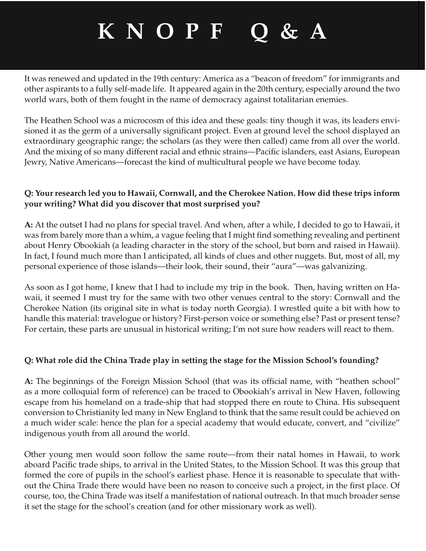It was renewed and updated in the 19th century: America as a "beacon of freedom" for immigrants and other aspirants to a fully self-made life. It appeared again in the 20th century, especially around the two world wars, both of them fought in the name of democracy against totalitarian enemies.

The Heathen School was a microcosm of this idea and these goals: tiny though it was, its leaders envisioned it as the germ of a universally significant project. Even at ground level the school displayed an extraordinary geographic range; the scholars (as they were then called) came from all over the world. And the mixing of so many different racial and ethnic strains—Pacific islanders, east Asians, European Jewry, Native Americans—forecast the kind of multicultural people we have become today.

### **Q: Your research led you to Hawaii, Cornwall, and the Cherokee Nation. How did these trips inform your writing? What did you discover that most surprised you?**

**A:** At the outset I had no plans for special travel. And when, after a while, I decided to go to Hawaii, it was from barely more than a whim, a vague feeling that I might find something revealing and pertinent about Henry Obookiah (a leading character in the story of the school, but born and raised in Hawaii). In fact, I found much more than I anticipated, all kinds of clues and other nuggets. But, most of all, my personal experience of those islands—their look, their sound, their "aura"—was galvanizing.

As soon as I got home, I knew that I had to include my trip in the book. Then, having written on Hawaii, it seemed I must try for the same with two other venues central to the story: Cornwall and the Cherokee Nation (its original site in what is today north Georgia). I wrestled quite a bit with how to handle this material: travelogue or history? First-person voice or something else? Past or present tense? For certain, these parts are unusual in historical writing; I'm not sure how readers will react to them.

### **Q: What role did the China Trade play in setting the stage for the Mission School's founding?**

A: The beginnings of the Foreign Mission School (that was its official name, with "heathen school" as a more colloquial form of reference) can be traced to Obookiah's arrival in New Haven, following escape from his homeland on a trade-ship that had stopped there en route to China. His subsequent conversion to Christianity led many in New England to think that the same result could be achieved on a much wider scale: hence the plan for a special academy that would educate, convert, and "civilize" indigenous youth from all around the world.

Other young men would soon follow the same route—from their natal homes in Hawaii, to work aboard Pacific trade ships, to arrival in the United States, to the Mission School. It was this group that formed the core of pupils in the school's earliest phase. Hence it is reasonable to speculate that without the China Trade there would have been no reason to conceive such a project, in the first place. Of course, too, the China Trade was itself a manifestation of national outreach. In that much broader sense it set the stage for the school's creation (and for other missionary work as well).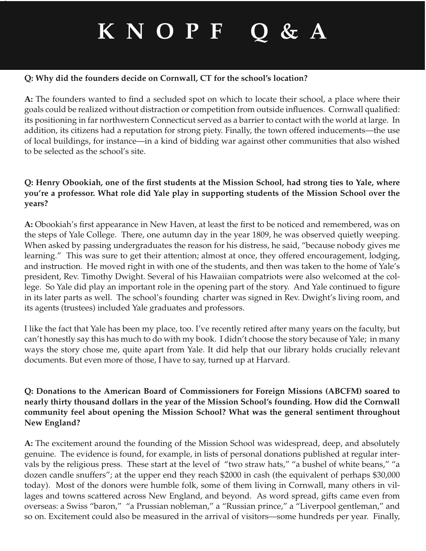#### **Q: Why did the founders decide on Cornwall, CT for the school's location?**

A: The founders wanted to find a secluded spot on which to locate their school, a place where their goals could be realized without distraction or competition from outside influences. Cornwall qualified: its positioning in far northwestern Connecticut served as a barrier to contact with the world at large. In addition, its citizens had a reputation for strong piety. Finally, the town offered inducements—the use of local buildings, for instance—in a kind of bidding war against other communities that also wished to be selected as the school's site.

### **Q: Henry Obookiah, one of the first students at the Mission School, had strong ties to Yale, where you're a professor. What role did Yale play in supporting students of the Mission School over the years?**

A: Obookiah's first appearance in New Haven, at least the first to be noticed and remembered, was on the steps of Yale College. There, one autumn day in the year 1809, he was observed quietly weeping. When asked by passing undergraduates the reason for his distress, he said, "because nobody gives me learning." This was sure to get their attention; almost at once, they offered encouragement, lodging, and instruction. He moved right in with one of the students, and then was taken to the home of Yale's president, Rev. Timothy Dwight. Several of his Hawaiian compatriots were also welcomed at the college. So Yale did play an important role in the opening part of the story. And Yale continued to figure in its later parts as well. The school's founding charter was signed in Rev. Dwight's living room, and its agents (trustees) included Yale graduates and professors.

I like the fact that Yale has been my place, too. I've recently retired after many years on the faculty, but can't honestly say this has much to do with my book. I didn't choose the story because of Yale; in many ways the story chose me, quite apart from Yale. It did help that our library holds crucially relevant documents. But even more of those, I have to say, turned up at Harvard.

#### **Q: Donations to the American Board of Commissioners for Foreign Missions (ABCFM) soared to nearly thirty thousand dollars in the year of the Mission School's founding. How did the Cornwall community feel about opening the Mission School? What was the general sentiment throughout New England?**

**A:** The excitement around the founding of the Mission School was widespread, deep, and absolutely genuine. The evidence is found, for example, in lists of personal donations published at regular intervals by the religious press. These start at the level of "two straw hats," "a bushel of white beans," "a dozen candle snuffers"; at the upper end they reach \$2000 in cash (the equivalent of perhaps \$30,000 today). Most of the donors were humble folk, some of them living in Cornwall, many others in villages and towns scattered across New England, and beyond. As word spread, gifts came even from overseas: a Swiss "baron," "a Prussian nobleman," a "Russian prince," a "Liverpool gentleman," and so on. Excitement could also be measured in the arrival of visitors—some hundreds per year. Finally,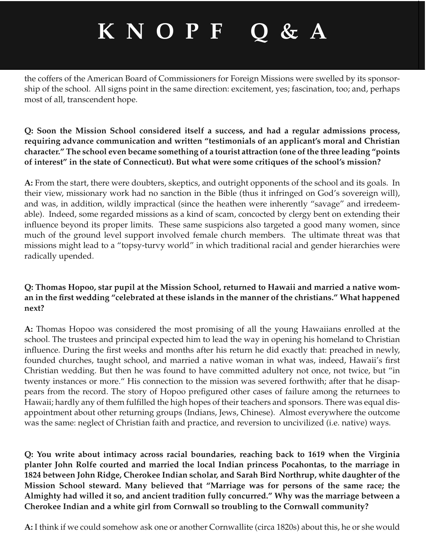the coffers of the American Board of Commissioners for Foreign Missions were swelled by its sponsorship of the school. All signs point in the same direction: excitement, yes; fascination, too; and, perhaps most of all, transcendent hope.

#### **Q: Soon the Mission School considered itself a success, and had a regular admissions process, requiring advance communication and written "testimonials of an applicant's moral and Christian character." The school even became something of a tourist attraction (one of the three leading "points of interest" in the state of Connecticut). But what were some critiques of the school's mission?**

**A:** From the start, there were doubters, skeptics, and outright opponents of the school and its goals. In their view, missionary work had no sanction in the Bible (thus it infringed on God's sovereign will), and was, in addition, wildly impractical (since the heathen were inherently "savage" and irredeemable). Indeed, some regarded missions as a kind of scam, concocted by clergy bent on extending their influence beyond its proper limits. These same suspicions also targeted a good many women, since much of the ground level support involved female church members. The ultimate threat was that missions might lead to a "topsy-turvy world" in which traditional racial and gender hierarchies were radically upended.

### **Q: Thomas Hopoo, star pupil at the Mission School, returned to Hawaii and married a native wom**an in the first wedding "celebrated at these islands in the manner of the christians." What happened **next?**

**A:** Thomas Hopoo was considered the most promising of all the young Hawaiians enrolled at the school. The trustees and principal expected him to lead the way in opening his homeland to Christian influence. During the first weeks and months after his return he did exactly that: preached in newly, founded churches, taught school, and married a native woman in what was, indeed, Hawaii's first Christian wedding. But then he was found to have committed adultery not once, not twice, but "in twenty instances or more." His connection to the mission was severed forthwith; after that he disappears from the record. The story of Hopoo prefigured other cases of failure among the returnees to Hawaii; hardly any of them fulfilled the high hopes of their teachers and sponsors. There was equal disappointment about other returning groups (Indians, Jews, Chinese). Almost everywhere the outcome was the same: neglect of Christian faith and practice, and reversion to uncivilized (i.e. native) ways.

**Q: You write about intimacy across racial boundaries, reaching back to 1619 when the Virginia planter John Rolfe courted and married the local Indian princess Pocahontas, to the marriage in 1824 between John Ridge, Cherokee Indian scholar, and Sarah Bird Northrup, white daughter of the Mission School steward. Many believed that "Marriage was for persons of the same race; the Almighty had willed it so, and ancient tradition fully concurred." Why was the marriage between a Cherokee Indian and a white girl from Cornwall so troubling to the Cornwall community?**

**A:** I think if we could somehow ask one or another Cornwallite (circa 1820s) about this, he or she would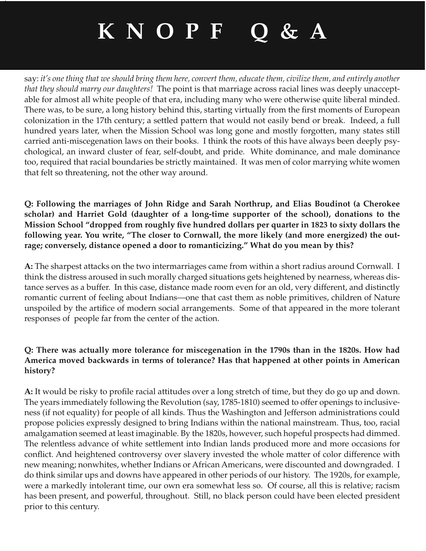say: *it's one thing that we should bring them here, convert them, educate them, civilize them, and entirely another that they should marry our daughters!* The point is that marriage across racial lines was deeply unacceptable for almost all white people of that era, including many who were otherwise quite liberal minded. There was, to be sure, a long history behind this, starting virtually from the first moments of European colonization in the 17th century; a settled pattern that would not easily bend or break. Indeed, a full hundred years later, when the Mission School was long gone and mostly forgotten, many states still carried anti-miscegenation laws on their books. I think the roots of this have always been deeply psychological, an inward cluster of fear, self-doubt, and pride. White dominance, and male dominance too, required that racial boundaries be strictly maintained. It was men of color marrying white women that felt so threatening, not the other way around.

**Q: Following the marriages of John Ridge and Sarah Northrup, and Elias Boudinot (a Cherokee scholar) and Harriet Gold (daughter of a long-time supporter of the school), donations to the Mission School "dropped from roughly five hundred dollars per quarter in 1823 to sixty dollars the following year. You write, "The closer to Cornwall, the more likely (and more energized) the outrage; conversely, distance opened a door to romanticizing." What do you mean by this?**

**A:** The sharpest attacks on the two intermarriages came from within a short radius around Cornwall. I think the distress aroused in such morally charged situations gets heightened by nearness, whereas distance serves as a buffer. In this case, distance made room even for an old, very different, and distinctly romantic current of feeling about Indians—one that cast them as noble primitives, children of Nature unspoiled by the artifice of modern social arrangements. Some of that appeared in the more tolerant responses of people far from the center of the action.

### **Q: There was actually more tolerance for miscegenation in the 1790s than in the 1820s. How had America moved backwards in terms of tolerance? Has that happened at other points in American history?**

**A:** It would be risky to profile racial attitudes over a long stretch of time, but they do go up and down. The years immediately following the Revolution (say, 1785-1810) seemed to offer openings to inclusiveness (if not equality) for people of all kinds. Thus the Washington and Jefferson administrations could propose policies expressly designed to bring Indians within the national mainstream. Thus, too, racial amalgamation seemed at least imaginable. By the 1820s, however, such hopeful prospects had dimmed. The relentless advance of white settlement into Indian lands produced more and more occasions for conflict. And heightened controversy over slavery invested the whole matter of color difference with new meaning; nonwhites, whether Indians or African Americans, were discounted and downgraded. I do think similar ups and downs have appeared in other periods of our history. The 1920s, for example, were a markedly intolerant time, our own era somewhat less so. Of course, all this is relative; racism has been present, and powerful, throughout. Still, no black person could have been elected president prior to this century.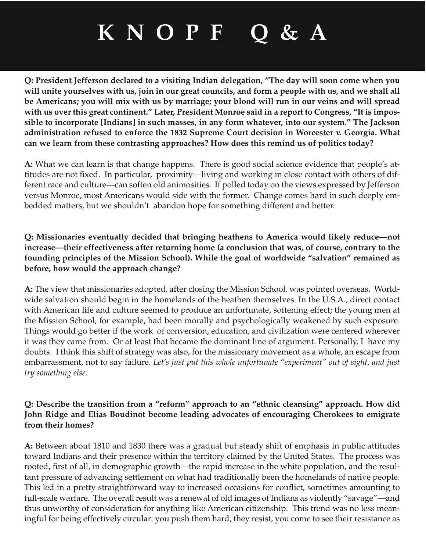**Q: President Jefferson declared to a visiting Indian delegation, "The day will soon come when you will unite yourselves with us, join in our great councils, and form a people with us, and we shall all be Americans; you will mix with us by marriage; your blood will run in our veins and will spread with us over this great continent." Later, President Monroe said in a report to Congress, "It is impossible to incorporate [Indians] in such masses, in any form whatever, into our system." The Jackson administration refused to enforce the 1832 Supreme Court decision in Worcester v. Georgia. What can we learn from these contrasting approaches? How does this remind us of politics today?**

**A:** What we can learn is that change happens. There is good social science evidence that people's attitudes are not fixed. In particular, proximity—living and working in close contact with others of different race and culture—can soften old animosities. If polled today on the views expressed by Jefferson versus Monroe, most Americans would side with the former. Change comes hard in such deeply embedded matters, but we shouldn't abandon hope for something different and better.

### **Q: Missionaries eventually decided that bringing heathens to America would likely reduce—not increase—their effectiveness after returning home (a conclusion that was, of course, contrary to the founding principles of the Mission School). While the goal of worldwide "salvation" remained as before, how would the approach change?**

**A:** The view that missionaries adopted, after closing the Mission School, was pointed overseas. Worldwide salvation should begin in the homelands of the heathen themselves. In the U.S.A., direct contact with American life and culture seemed to produce an unfortunate, softening effect; the young men at the Mission School, for example, had been morally and psychologically weakened by such exposure. Things would go better if the work of conversion, education, and civilization were centered wherever it was they came from. Or at least that became the dominant line of argument. Personally, I have my doubts. I think this shift of strategy was also, for the missionary movement as a whole, an escape from embarrassment, not to say failure. *Let's just put this whole unfortunate "experiment" out of sight, and just try something else.* 

### **Q: Describe the transition from a "reform" approach to an "ethnic cleansing" approach. How did John Ridge and Elias Boudinot become leading advocates of encouraging Cherokees to emigrate from their homes?**

**A:** Between about 1810 and 1830 there was a gradual but steady shift of emphasis in public attitudes toward Indians and their presence within the territory claimed by the United States. The process was rooted, first of all, in demographic growth—the rapid increase in the white population, and the resultant pressure of advancing settlement on what had traditionally been the homelands of native people. This led in a pretty straightforward way to increased occasions for conflict, sometimes amounting to full-scale warfare. The overall result was a renewal of old images of Indians as violently "savage"—and thus unworthy of consideration for anything like American citizenship. This trend was no less meaningful for being effectively circular: you push them hard, they resist, you come to see their resistance as